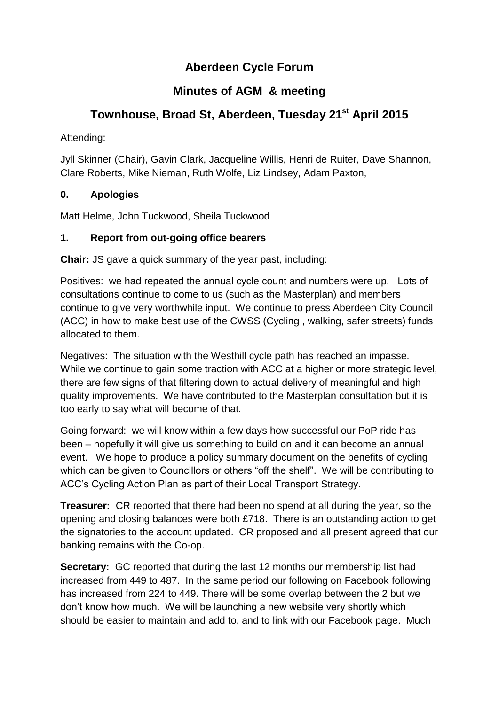# **Aberdeen Cycle Forum**

# **Minutes of AGM & meeting**

# **Townhouse, Broad St, Aberdeen, Tuesday 21st April 2015**

Attending:

Jyll Skinner (Chair), Gavin Clark, Jacqueline Willis, Henri de Ruiter, Dave Shannon, Clare Roberts, Mike Nieman, Ruth Wolfe, Liz Lindsey, Adam Paxton,

## **0. Apologies**

Matt Helme, John Tuckwood, Sheila Tuckwood

#### **1. Report from out-going office bearers**

**Chair:** JS gave a quick summary of the year past, including:

Positives: we had repeated the annual cycle count and numbers were up. Lots of consultations continue to come to us (such as the Masterplan) and members continue to give very worthwhile input. We continue to press Aberdeen City Council (ACC) in how to make best use of the CWSS (Cycling , walking, safer streets) funds allocated to them.

Negatives: The situation with the Westhill cycle path has reached an impasse. While we continue to gain some traction with ACC at a higher or more strategic level, there are few signs of that filtering down to actual delivery of meaningful and high quality improvements. We have contributed to the Masterplan consultation but it is too early to say what will become of that.

Going forward: we will know within a few days how successful our PoP ride has been – hopefully it will give us something to build on and it can become an annual event. We hope to produce a policy summary document on the benefits of cycling which can be given to Councillors or others "off the shelf". We will be contributing to ACC's Cycling Action Plan as part of their Local Transport Strategy.

**Treasurer:** CR reported that there had been no spend at all during the year, so the opening and closing balances were both £718. There is an outstanding action to get the signatories to the account updated. CR proposed and all present agreed that our banking remains with the Co-op.

**Secretary:** GC reported that during the last 12 months our membership list had increased from 449 to 487. In the same period our following on Facebook following has increased from 224 to 449. There will be some overlap between the 2 but we don't know how much. We will be launching a new website very shortly which should be easier to maintain and add to, and to link with our Facebook page. Much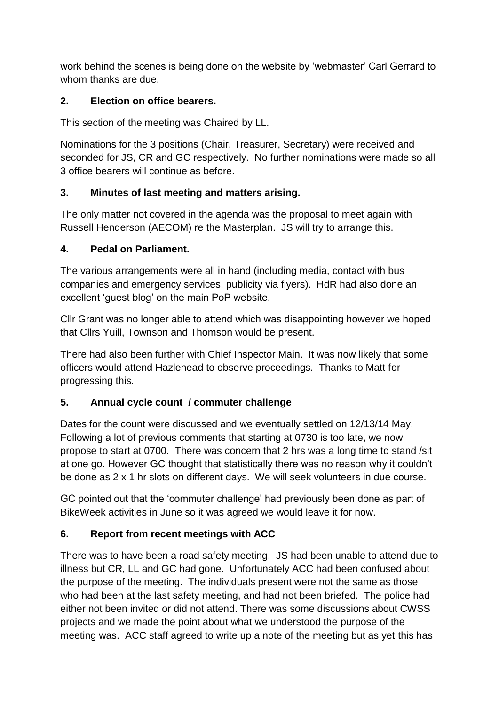work behind the scenes is being done on the website by 'webmaster' Carl Gerrard to whom thanks are due.

#### **2. Election on office bearers.**

This section of the meeting was Chaired by LL.

Nominations for the 3 positions (Chair, Treasurer, Secretary) were received and seconded for JS, CR and GC respectively. No further nominations were made so all 3 office bearers will continue as before.

#### **3. Minutes of last meeting and matters arising.**

The only matter not covered in the agenda was the proposal to meet again with Russell Henderson (AECOM) re the Masterplan. JS will try to arrange this.

#### **4. Pedal on Parliament.**

The various arrangements were all in hand (including media, contact with bus companies and emergency services, publicity via flyers). HdR had also done an excellent 'guest blog' on the main PoP website.

Cllr Grant was no longer able to attend which was disappointing however we hoped that Cllrs Yuill, Townson and Thomson would be present.

There had also been further with Chief Inspector Main. It was now likely that some officers would attend Hazlehead to observe proceedings. Thanks to Matt for progressing this.

## **5. Annual cycle count / commuter challenge**

Dates for the count were discussed and we eventually settled on 12/13/14 May. Following a lot of previous comments that starting at 0730 is too late, we now propose to start at 0700. There was concern that 2 hrs was a long time to stand /sit at one go. However GC thought that statistically there was no reason why it couldn't be done as 2 x 1 hr slots on different days. We will seek volunteers in due course.

GC pointed out that the 'commuter challenge' had previously been done as part of BikeWeek activities in June so it was agreed we would leave it for now.

## **6. Report from recent meetings with ACC**

There was to have been a road safety meeting. JS had been unable to attend due to illness but CR, LL and GC had gone. Unfortunately ACC had been confused about the purpose of the meeting. The individuals present were not the same as those who had been at the last safety meeting, and had not been briefed. The police had either not been invited or did not attend. There was some discussions about CWSS projects and we made the point about what we understood the purpose of the meeting was. ACC staff agreed to write up a note of the meeting but as yet this has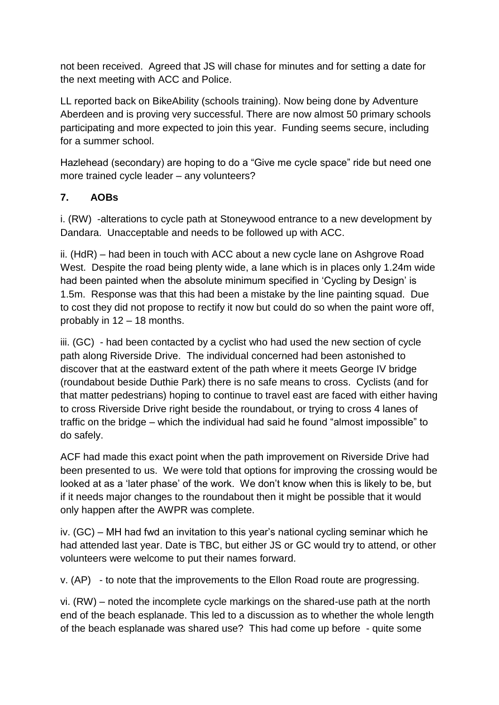not been received. Agreed that JS will chase for minutes and for setting a date for the next meeting with ACC and Police.

LL reported back on BikeAbility (schools training). Now being done by Adventure Aberdeen and is proving very successful. There are now almost 50 primary schools participating and more expected to join this year. Funding seems secure, including for a summer school.

Hazlehead (secondary) are hoping to do a "Give me cycle space" ride but need one more trained cycle leader – any volunteers?

#### **7. AOBs**

i. (RW) -alterations to cycle path at Stoneywood entrance to a new development by Dandara. Unacceptable and needs to be followed up with ACC.

ii. (HdR) – had been in touch with ACC about a new cycle lane on Ashgrove Road West. Despite the road being plenty wide, a lane which is in places only 1.24m wide had been painted when the absolute minimum specified in 'Cycling by Design' is 1.5m. Response was that this had been a mistake by the line painting squad. Due to cost they did not propose to rectify it now but could do so when the paint wore off, probably in 12 – 18 months.

iii. (GC) - had been contacted by a cyclist who had used the new section of cycle path along Riverside Drive. The individual concerned had been astonished to discover that at the eastward extent of the path where it meets George IV bridge (roundabout beside Duthie Park) there is no safe means to cross. Cyclists (and for that matter pedestrians) hoping to continue to travel east are faced with either having to cross Riverside Drive right beside the roundabout, or trying to cross 4 lanes of traffic on the bridge – which the individual had said he found "almost impossible" to do safely.

ACF had made this exact point when the path improvement on Riverside Drive had been presented to us. We were told that options for improving the crossing would be looked at as a 'later phase' of the work. We don't know when this is likely to be, but if it needs major changes to the roundabout then it might be possible that it would only happen after the AWPR was complete.

iv. (GC) – MH had fwd an invitation to this year's national cycling seminar which he had attended last year. Date is TBC, but either JS or GC would try to attend, or other volunteers were welcome to put their names forward.

v. (AP) - to note that the improvements to the Ellon Road route are progressing.

vi. (RW) – noted the incomplete cycle markings on the shared-use path at the north end of the beach esplanade. This led to a discussion as to whether the whole length of the beach esplanade was shared use? This had come up before - quite some